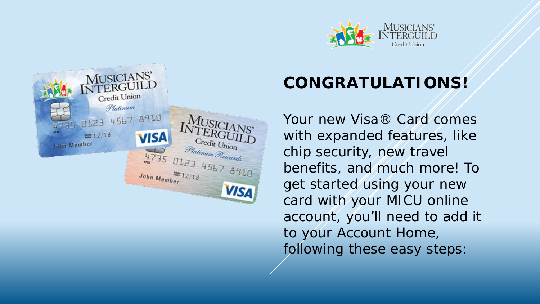



## **CONGRATULATIONS!**

Your new Visa® Card comes with expanded features, like chip security, new travel benefits, and much more! To get started using your new card with your MICU online account, you'll need to add it to your Account Home, following these easy steps: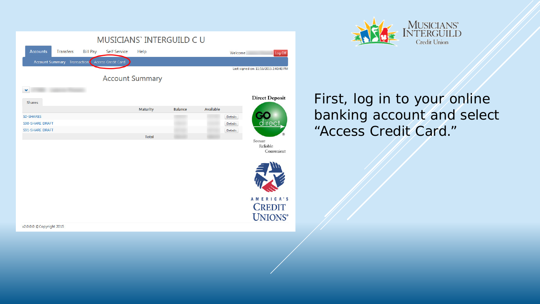|                                                        | MUSICIANS` INTERGUILD C U |              |                |           |                |                                       |
|--------------------------------------------------------|---------------------------|--------------|----------------|-----------|----------------|---------------------------------------|
| <b>Accounts</b><br><b>Transfers</b><br><b>Bill Pay</b> | <b>Self Service</b>       | Help         |                |           | Welcome        | Log Off                               |
| Account Summary Transactions Access Credit Card        |                           |              |                |           |                |                                       |
|                                                        |                           |              |                |           |                | Last signed on: 11/16/2015 2:40:48 PM |
|                                                        | <b>Account Summary</b>    |              |                |           |                |                                       |
| $\checkmark$                                           |                           |              |                |           |                |                                       |
| Shares                                                 |                           |              |                |           |                | <b>Direct Deposit</b>                 |
|                                                        |                           | Maturity     | <b>Balance</b> | Available |                |                                       |
| SO-SHARES                                              |                           |              |                |           | <b>Details</b> |                                       |
| S90-SHARE DRAFT<br>S91-SHARE DRAFT                     |                           |              |                |           | <b>Details</b> | direct.                               |
|                                                        |                           | <b>Total</b> |                |           | <b>Details</b> |                                       |
|                                                        |                           |              |                |           |                | Secure<br>Reliable                    |
|                                                        |                           |              |                |           |                | Convenient                            |
|                                                        |                           |              |                |           |                |                                       |
|                                                        |                           |              |                |           |                |                                       |
|                                                        |                           |              |                |           |                |                                       |
|                                                        |                           |              |                |           |                |                                       |
|                                                        |                           |              |                |           |                | AMERICA'S                             |
|                                                        |                           |              |                |           |                | <b>CREDIT</b>                         |
|                                                        |                           |              |                |           |                | <b>UNIONS®</b>                        |
| /2.0.0.0 © Copyright 2015                              |                           |              |                |           |                |                                       |



## First, log in to your online banking account and select "Access Credit Card."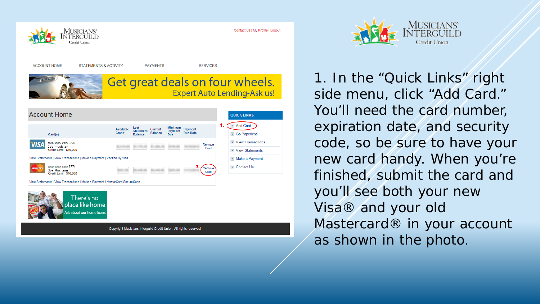

Contact Us | My Profile | Logout







Copyright Musicians Interguild Credit Union. All rights reserved.



1. In the "Quick Links" right side menu, click "Add Card." You'll need the card number, expiration date, and security code, so be sure to have your new card handy. When you're finished, submit the card and you'll see both your new Visa® and your old Mastercard<sup>®</sup> in your account as shown in the photo.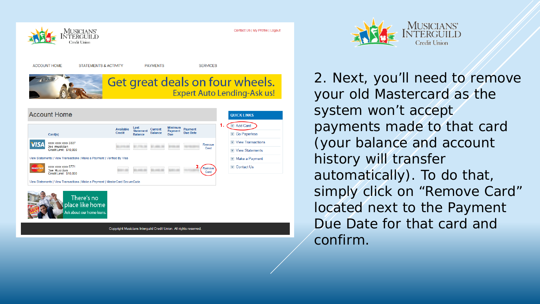

Contact Us | My Profile | Logout







Copyright Musicians Interguild Credit Union. All rights reserved.



2. Next, you'll need to remove your old Mastercard as the system won't accept payments made to that card (your balance and account history will transfer automatically). To do that, simply click on "Remove Card" located next to the Payment Due Date for that card and confirm.